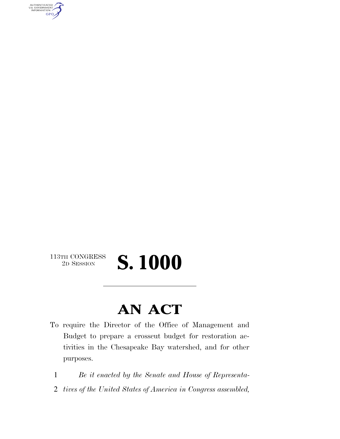AUTHENTICATED<br>U.S. GOVERNMENT<br>INFORMATION **GPO** 

## 113TH CONGRESS<br>2D SESSION

## 2D SESSION **S. 1000**

## **AN ACT**

- To require the Director of the Office of Management and Budget to prepare a crosscut budget for restoration activities in the Chesapeake Bay watershed, and for other purposes.
	- 1 *Be it enacted by the Senate and House of Representa-*
- 2 *tives of the United States of America in Congress assembled,*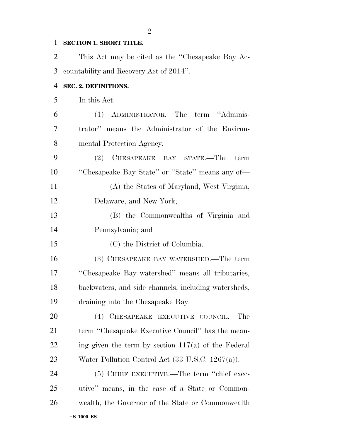#### **SECTION 1. SHORT TITLE.**

| 2  | This Act may be cited as the "Chesapeake Bay Ac-             |
|----|--------------------------------------------------------------|
| 3  | countability and Recovery Act of 2014".                      |
| 4  | SEC. 2. DEFINITIONS.                                         |
| 5  | In this Act:                                                 |
| 6  | (1) ADMINISTRATOR.—The term "Adminis-                        |
| 7  | trator" means the Administrator of the Environ-              |
| 8  | mental Protection Agency.                                    |
| 9  | (2) CHESAPEAKE BAY STATE.—The<br>term                        |
| 10 | "Chesapeake Bay State" or "State" means any of—              |
| 11 | (A) the States of Maryland, West Virginia,                   |
| 12 | Delaware, and New York;                                      |
| 13 | (B) the Commonwealths of Virginia and                        |
| 14 | Pennsylvania; and                                            |
| 15 | (C) the District of Columbia.                                |
| 16 | (3) CHESAPEAKE BAY WATERSHED.—The term                       |
| 17 | "Chesapeake Bay watershed" means all tributaries,            |
| 18 | backwaters, and side channels, including watersheds,         |
| 19 | draining into the Chesapeake Bay.                            |
| 20 | (4) CHESAPEAKE EXECUTIVE COUNCIL.—The                        |
| 21 | term "Chesapeake Executive Council" has the mean-            |
| 22 | ing given the term by section $117(a)$ of the Federal        |
| 23 | Water Pollution Control Act $(33 \text{ U.S.C. } 1267(a))$ . |
| 24 | (5) CHIEF EXECUTIVE.—The term "chief exec-                   |
| 25 | utive" means, in the case of a State or Common-              |
| 26 | wealth, the Governor of the State or Commonwealth            |
|    | $\dagger$ S 1000 ES                                          |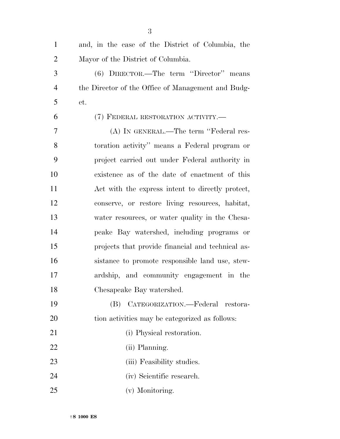| $\mathbf{1}$   | and, in the case of the District of Columbia, the  |
|----------------|----------------------------------------------------|
| $\overline{2}$ | Mayor of the District of Columbia.                 |
| 3              | (6) DIRECTOR.—The term "Director" means            |
| $\overline{4}$ | the Director of the Office of Management and Budg- |
| 5              | et.                                                |
| 6              | (7) FEDERAL RESTORATION ACTIVITY.—                 |
| 7              | (A) IN GENERAL.—The term "Federal res-             |
| 8              | toration activity" means a Federal program or      |
| 9              | project carried out under Federal authority in     |
| 10             | existence as of the date of enactment of this      |
| 11             | Act with the express intent to directly protect,   |
| 12             | conserve, or restore living resources, habitat,    |
| 13             | water resources, or water quality in the Chesa-    |
| 14             | peake Bay watershed, including programs or         |
| 15             | projects that provide financial and technical as-  |
| 16             | sistance to promote responsible land use, stew-    |
| 17             | ardship, and community engagement in the           |
| 18             | Chesapeake Bay watershed.                          |
| 19             | CATEGORIZATION.—Federal<br>(B)<br>restora-         |
| 20             | tion activities may be categorized as follows:     |
| 21             | (i) Physical restoration.                          |
| 22             | (ii) Planning.                                     |
| 23             | (iii) Feasibility studies.                         |
| 24             | (iv) Scientific research.                          |
| 25             | (v) Monitoring.                                    |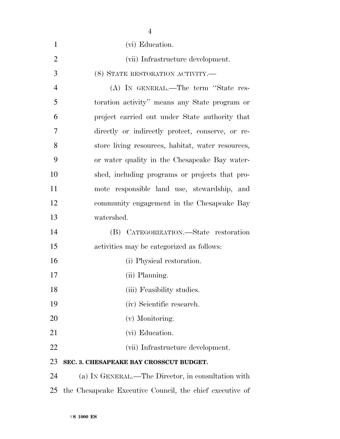|                | $\overline{4}$                                           |
|----------------|----------------------------------------------------------|
| $\mathbf{1}$   | (vi) Education.                                          |
| $\overline{2}$ | (vii) Infrastructure development.                        |
| 3              | (8) STATE RESTORATION ACTIVITY.-                         |
| $\overline{4}$ | (A) IN GENERAL.—The term "State res-                     |
| 5              | toration activity" means any State program or            |
| 6              | project carried out under State authority that           |
| 7              | directly or indirectly protect, conserve, or re-         |
| 8              | store living resources, habitat, water resources,        |
| 9              | or water quality in the Chesapeake Bay water-            |
| 10             | shed, including programs or projects that pro-           |
| 11             | mote responsible land use, stewardship, and              |
| 12             | community engagement in the Chesapeake Bay               |
| 13             | watershed.                                               |
| 14             | (B) CATEGORIZATION.—State restoration                    |
| 15             | activities may be categorized as follows:                |
| 16             | (i) Physical restoration.                                |
| 17             | (ii) Planning.                                           |
| 18             | (iii) Feasibility studies.                               |
| 19             | (iv) Scientific research.                                |
| 20             | (v) Monitoring.                                          |
| 21             | (vi) Education.                                          |
| 22             | (vii) Infrastructure development.                        |
| 23             | SEC. 3. CHESAPEAKE BAY CROSSCUT BUDGET.                  |
| 24             | (a) IN GENERAL.—The Director, in consultation with       |
| 25             | the Chesapeake Executive Council, the chief executive of |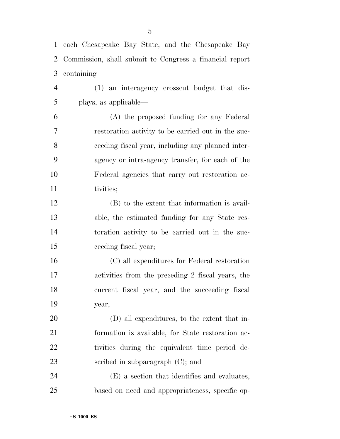each Chesapeake Bay State, and the Chesapeake Bay Commission, shall submit to Congress a financial report containing— (1) an interagency crosscut budget that dis- plays, as applicable— (A) the proposed funding for any Federal

 restoration activity to be carried out in the suc- ceeding fiscal year, including any planned inter- agency or intra-agency transfer, for each of the Federal agencies that carry out restoration ac-11 tivities;

 (B) to the extent that information is avail- able, the estimated funding for any State res- toration activity to be carried out in the suc-ceeding fiscal year;

 (C) all expenditures for Federal restoration activities from the preceding 2 fiscal years, the current fiscal year, and the succeeding fiscal year;

 (D) all expenditures, to the extent that in- formation is available, for State restoration ac- tivities during the equivalent time period de-23 seribed in subparagraph (C); and

 (E) a section that identifies and evaluates, based on need and appropriateness, specific op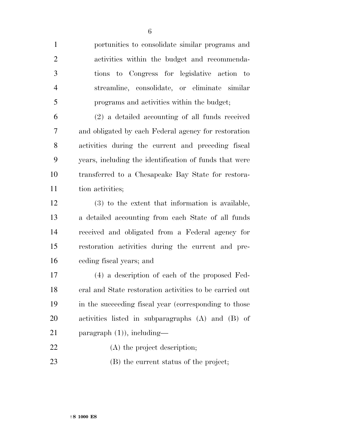portunities to consolidate similar programs and activities within the budget and recommenda- tions to Congress for legislative action to streamline, consolidate, or eliminate similar programs and activities within the budget;

 (2) a detailed accounting of all funds received and obligated by each Federal agency for restoration activities during the current and preceding fiscal years, including the identification of funds that were transferred to a Chesapeake Bay State for restora-11 tion activities;

 (3) to the extent that information is available, a detailed accounting from each State of all funds received and obligated from a Federal agency for restoration activities during the current and pre-ceding fiscal years; and

 (4) a description of each of the proposed Fed- eral and State restoration activities to be carried out in the succeeding fiscal year (corresponding to those activities listed in subparagraphs (A) and (B) of paragraph (1)), including—

22 (A) the project description;

(B) the current status of the project;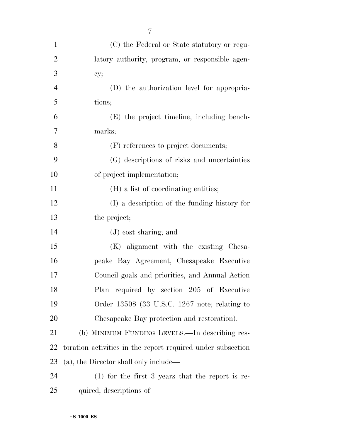| $\mathbf{1}$   | (C) the Federal or State statutory or regu-                 |
|----------------|-------------------------------------------------------------|
| $\overline{2}$ | latory authority, program, or responsible agen-             |
| 3              | cy;                                                         |
| $\overline{4}$ | (D) the authorization level for appropria-                  |
| 5              | tions;                                                      |
| 6              | (E) the project timeline, including bench-                  |
| 7              | marks;                                                      |
| 8              | (F) references to project documents;                        |
| 9              | (G) descriptions of risks and uncertainties                 |
| 10             | of project implementation;                                  |
| 11             | (H) a list of coordinating entities;                        |
| 12             | (I) a description of the funding history for                |
| 13             | the project;                                                |
| 14             | $(J)$ cost sharing; and                                     |
| 15             | (K) alignment with the existing Chesa-                      |
| 16             | peake Bay Agreement, Chesapeake Executive                   |
| 17             | Council goals and priorities, and Annual Action             |
| 18             | Plan required by section 205 of Executive                   |
| 19             | Order 13508 (33 U.S.C. 1267 note; relating to               |
| 20             | Chesapeake Bay protection and restoration).                 |
| 21             | (b) MINIMUM FUNDING LEVELS.—In describing res-              |
| 22             | toration activities in the report required under subsection |
| 23             | (a), the Director shall only include—                       |
| 24             | $(1)$ for the first 3 years that the report is re-          |
| 25             | quired, descriptions of—                                    |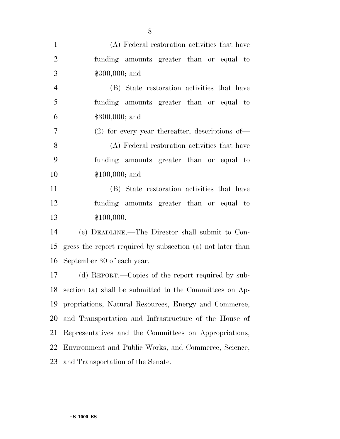| $\mathbf{1}$   | (A) Federal restoration activities that have               |
|----------------|------------------------------------------------------------|
| $\overline{2}$ | funding amounts greater than or equal to                   |
| 3              | $$300,000;$ and                                            |
| $\overline{4}$ | (B) State restoration activities that have                 |
| 5              | funding amounts greater than or equal to                   |
| 6              | \$300,000; and                                             |
| $\tau$         | $(2)$ for every year thereafter, descriptions of —         |
| 8              | (A) Federal restoration activities that have               |
| 9              | funding amounts greater than or equal to                   |
| 10             | $$100,000;$ and                                            |
| 11             | (B) State restoration activities that have                 |
| 12             | funding amounts greater than or equal to                   |
| 13             | \$100,000.                                                 |
| 14             | (c) DEADLINE.—The Director shall submit to Con-            |
| 15             | gress the report required by subsection (a) not later than |
| 16             | September 30 of each year.                                 |
| 17             | (d) REPORT.—Copies of the report required by sub-          |
| 18             | section (a) shall be submitted to the Committees on Ap-    |
| 19             | propriations, Natural Resources, Energy and Commerce,      |
| 20             | and Transportation and Infrastructure of the House of      |
| 21             | Representatives and the Committees on Appropriations,      |
| 22             | Environment and Public Works, and Commerce, Science,       |
| 23             | and Transportation of the Senate.                          |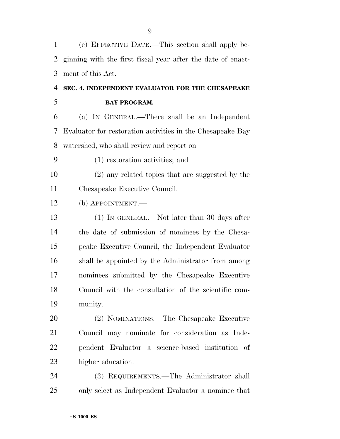| 1  | (e) EFFECTIVE DATE.—This section shall apply be-            |
|----|-------------------------------------------------------------|
| 2  | ginning with the first fiscal year after the date of enact- |
| 3  | ment of this Act.                                           |
| 4  | SEC. 4. INDEPENDENT EVALUATOR FOR THE CHESAPEAKE            |
| 5  | <b>BAY PROGRAM.</b>                                         |
| 6  | (a) IN GENERAL.—There shall be an Independent               |
| 7  | Evaluator for restoration activities in the Chesapeake Bay  |
| 8  | watershed, who shall review and report on—                  |
| 9  | (1) restoration activities; and                             |
| 10 | (2) any related topics that are suggested by the            |
| 11 | Chesapeake Executive Council.                               |
| 12 | $(b)$ APPOINTMENT.—                                         |
| 13 | $(1)$ In GENERAL.—Not later than 30 days after              |
| 14 | the date of submission of nominees by the Chesa-            |
| 15 | peake Executive Council, the Independent Evaluator          |
| 16 | shall be appointed by the Administrator from among          |
| 17 | nominees submitted by the Chesapeake Executive              |
| 18 | Council with the consultation of the scientific com-        |
| 19 | munity.                                                     |
| 20 | (2) NOMINATIONS.—The Chesapeake Executive                   |
| 21 | Council may nominate for consideration as Inde-             |
| 22 | pendent Evaluator a science-based institution of            |
| 23 | higher education.                                           |
| 24 | (3) REQUIREMENTS.—The Administrator shall                   |
| 25 | only select as Independent Evaluator a nominee that         |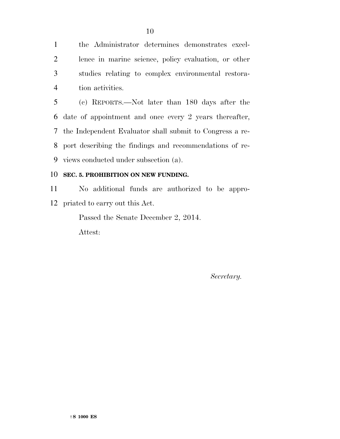the Administrator determines demonstrates excel- lence in marine science, policy evaluation, or other studies relating to complex environmental restora-tion activities.

 (c) REPORTS.—Not later than 180 days after the date of appointment and once every 2 years thereafter, the Independent Evaluator shall submit to Congress a re- port describing the findings and recommendations of re-views conducted under subsection (a).

#### **SEC. 5. PROHIBITION ON NEW FUNDING.**

 No additional funds are authorized to be appro-priated to carry out this Act.

Passed the Senate December 2, 2014.

Attest:

*Secretary.*